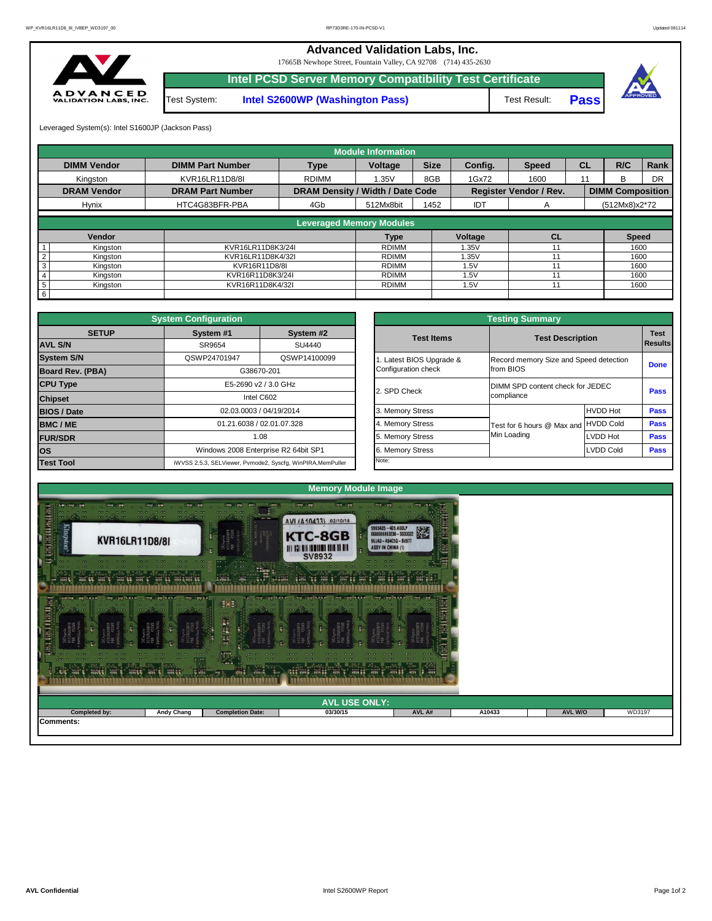## **Advanced Validation Labs, Inc.**

Leveraged System(s): Intel S1600JP (Jackson Pass)

**Pass**



17665B Newhope Street, Fountain Valley, CA 92708 (714) 435-2630



**Intel PCSD Server Memory Compatibility Test Certificate**

Test System: **Intel S2600WP (Washington Pass)** Test Result:

|                    |                         |                                         | <b>Module Information</b>       |             |                |                               |           |                         |           |
|--------------------|-------------------------|-----------------------------------------|---------------------------------|-------------|----------------|-------------------------------|-----------|-------------------------|-----------|
| <b>DIMM Vendor</b> | <b>DIMM Part Number</b> | <b>Type</b>                             | <b>Voltage</b>                  | <b>Size</b> | <b>Config.</b> | <b>Speed</b>                  | <b>CL</b> | R/C                     | Rank      |
| Kingston           | <b>KVR16LR11D8/8I</b>   | <b>RDIMM</b>                            | 1.35V                           | 8GB         | 1Gx72          | 1600                          | 11        | B                       | <b>DR</b> |
| <b>DRAM Vendor</b> | <b>DRAM Part Number</b> | <b>DRAM Density / Width / Date Code</b> |                                 |             |                | <b>Register Vendor / Rev.</b> |           | <b>DIMM Composition</b> |           |
| <b>Hynix</b>       | HTC4G83BFR-PBA          | 4Gb                                     | 512Mx8bit                       | 1452        | <b>IDT</b>     | A                             |           | (512Mx8)x2*72           |           |
|                    |                         |                                         | <b>Leveraged Memory Modules</b> |             |                |                               |           |                         |           |
|                    |                         |                                         |                                 |             |                |                               |           |                         |           |
| Vendor             |                         |                                         | <b>Type</b>                     |             | Voltage        | <b>CL</b>                     |           | <b>Speed</b>            |           |
| Kingston           | KVR16LR11D8K3/24I       |                                         | <b>RDIMM</b>                    |             | .35V           |                               |           | 1600                    |           |
| Kingston           | KVR16LR11D8K4/32I       |                                         | RDIMM                           |             | l.35V          |                               |           | 1600                    |           |
| Kingston<br>3      | KVR16R11D8/8I           |                                         | RDIMM                           |             | 1.5V           |                               |           | 1600                    |           |
| Kingston           | KVR16R11D8K3/24I        |                                         | <b>RDIMM</b>                    |             | 1.5V           |                               |           | 1600                    |           |
| Kingston<br>5      | KVR16R11D8K4/32I        |                                         | <b>RDIMM</b>                    |             | 1.5V           |                               |           | 1600                    |           |
| 6                  |                         |                                         |                                 |             |                |                               |           |                         |           |

|              | <b>System Configuration</b> |                                                             |                                                                                                                                                                                                                                                      | <b>Testing Summary</b>           |                                        |                |  |
|--------------|-----------------------------|-------------------------------------------------------------|------------------------------------------------------------------------------------------------------------------------------------------------------------------------------------------------------------------------------------------------------|----------------------------------|----------------------------------------|----------------|--|
| <b>SETUP</b> | System #1                   | System #2                                                   |                                                                                                                                                                                                                                                      |                                  |                                        | <b>Test</b>    |  |
|              | SR9654                      | SU4440                                                      |                                                                                                                                                                                                                                                      |                                  |                                        | <b>Results</b> |  |
|              | QSWP24701947                | QSWP14100099                                                | Latest BIOS Upgrade &                                                                                                                                                                                                                                |                                  | Record memory Size and Speed detection |                |  |
| PBA)         |                             | G38670-201                                                  | <b>Test Description</b><br><b>Test Items</b><br>Configuration check<br>from BIOS<br>2. SPD Check<br>compliance<br>3. Memory Stress<br>4. Memory Stress<br>Test for 6 hours @ Max and<br>Min Loading<br>5. Memory Stress<br>6. Memory Stress<br>Note: |                                  | <b>Done</b>                            |                |  |
|              |                             | E5-2690 v2 / 3.0 GHz                                        |                                                                                                                                                                                                                                                      | DIMM SPD content check for JEDEC |                                        |                |  |
|              |                             | Intel C602                                                  |                                                                                                                                                                                                                                                      |                                  |                                        | <b>Pass</b>    |  |
|              |                             | 02.03.0003 / 04/19/2014                                     |                                                                                                                                                                                                                                                      |                                  | <b>HVDD Hot</b>                        | <b>Pass</b>    |  |
|              |                             | 01.21.6038 / 02.01.07.328                                   |                                                                                                                                                                                                                                                      |                                  | <b>HVDD Cold</b>                       | <b>Pass</b>    |  |
|              |                             | 1.08                                                        |                                                                                                                                                                                                                                                      |                                  | LVDD Hot                               | <b>Pass</b>    |  |
|              |                             | Windows 2008 Enterprise R2 64bit SP1                        |                                                                                                                                                                                                                                                      | <b>LVDD Cold</b>                 |                                        | <b>Pass</b>    |  |
|              |                             | iWVSS 2.5.3, SELViewer, Pvmode2, Syscfg, WinPIRA, MemPuller |                                                                                                                                                                                                                                                      |                                  |                                        |                |  |

|                         | <b>System Configuration</b> |                                                             |                                                                |                       | <b>Testing Summary</b>                 |                 |             |
|-------------------------|-----------------------------|-------------------------------------------------------------|----------------------------------------------------------------|-----------------------|----------------------------------------|-----------------|-------------|
| <b>SETUP</b>            | System #1                   | System #2                                                   |                                                                | <b>Test Items</b>     | <b>Test Description</b>                |                 | <b>Test</b> |
| <b>AVL S/N</b>          | SR9654                      | SU4440                                                      |                                                                |                       |                                        |                 | Results     |
| <b>System S/N</b>       | QSWP24701947                | QSWP14100099                                                |                                                                | Latest BIOS Upgrade & | Record memory Size and Speed detection |                 | <b>Done</b> |
| <b>Board Rev. (PBA)</b> |                             | G38670-201                                                  | Configuration check<br>from BIOS                               |                       |                                        |                 |             |
| <b>CPU Type</b>         |                             | E5-2690 v2 / 3.0 GHz                                        | DIMM SPD content check for JEDEC<br>2. SPD Check<br>compliance |                       |                                        | <b>Pass</b>     |             |
| <b>Chipset</b>          |                             | Intel C602                                                  |                                                                |                       |                                        |                 |             |
| <b>BIOS / Date</b>      |                             | 02.03.0003 / 04/19/2014                                     |                                                                | 3. Memory Stress      |                                        | <b>HVDD Hot</b> | <b>Pass</b> |
| <b>BMC/ME</b>           |                             | 01.21.6038 / 02.01.07.328                                   |                                                                | 4. Memory Stress      | Test for 6 hours @ Max and HVDD Cold   |                 | <b>Pass</b> |
| <b>FUR/SDR</b>          |                             | 1.08                                                        |                                                                | 5. Memory Stress      | Min Loading                            | <b>LVDD Hot</b> | <b>Pass</b> |
| <b>los</b>              |                             | Windows 2008 Enterprise R2 64bit SP1                        |                                                                | 6. Memory Stress      |                                        | LVDD Cold       | <b>Pass</b> |
| <b>Test Tool</b>        |                             | iWVSS 2.5.3, SELViewer, Pvmode2, Syscfg, WinPIRA, MemPuller |                                                                | Note:                 |                                        |                 |             |

| <b>A SANTA PARA SA PARA SA PARA SA PARA SA PARA SA PARA SA PARA SA PARA SA PARA SA PARA SA PARA SA PARA SA PARA S</b><br>Para sa para sa para sa para sa para sa para sa para sa para sa para sa para sa para sa para sa para sa para | <b>CONSTRUCTION</b> |                         | A BER WAS ARRESTED AND BEGINNING THE RESERVED ON A BEGINNING TO A BEGINNING TO A BEGINNING TO A BEGINNING TO A |        |        |                |        |
|---------------------------------------------------------------------------------------------------------------------------------------------------------------------------------------------------------------------------------------|---------------------|-------------------------|----------------------------------------------------------------------------------------------------------------|--------|--------|----------------|--------|
|                                                                                                                                                                                                                                       |                     |                         | <b>AVL USE ONLY:</b>                                                                                           |        |        |                |        |
| Completed by:                                                                                                                                                                                                                         | <b>Andy Chang</b>   | <b>Completion Date:</b> | 03/30/15                                                                                                       | AVL A# | A10433 | <b>AVL W/O</b> | WD3197 |
| Comments:                                                                                                                                                                                                                             |                     |                         |                                                                                                                |        |        |                |        |